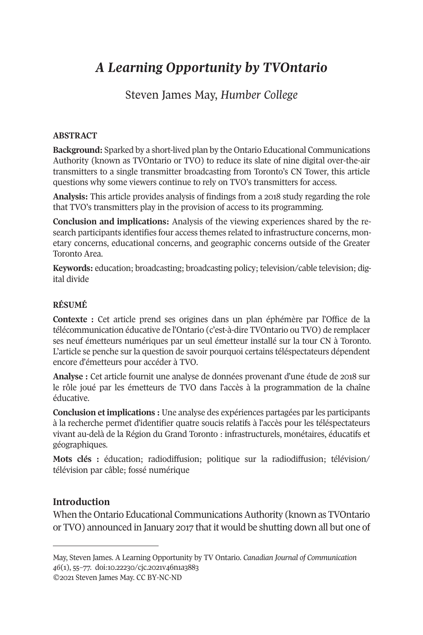# *A Learning Opportunity by TVOntario*

# Steven James May, *Humber College*

### **ABSTRACT**

**Background:** Sparked by a short-lived plan by the Ontario Educational Communications Authority (known as TVOntario or TVO) to reduce its slate of nine digital over-the-air transmitters to a single transmitter broadcasting from Toronto's CN Tower, this article questions why some viewers continue to rely on TVO's transmitters for access.

**Analysis:** This article provides analysis of findings from a 2018 study regarding the role that TVO's transmitters play in the provision of access to its programming.

**Conclusion and implications:** Analysis of the viewing experiences shared by the research participants identifies four access themes related to infrastructure concerns, monetary concerns, educational concerns, and geographic concerns outside of the Greater Toronto Area.

**Keywords:** education; broadcasting; broadcasting policy; television/cable television; digital divide

### **RÉSUMÉ**

**Contexte :** Cet article prend ses origines dans un plan éphémère par l'Office de la télécommunication éducative de l'Ontario (c'est-à-dire TVOntario ou TVO) de remplacer ses neuf émetteurs numériques par un seul émetteur installé sur la tour CN à Toronto. L'article se penche sur la question de savoir pourquoi certains téléspectateurs dépendent encore d'émetteurs pour accéder à TVO.

**Analyse :** Cet article fournit une analyse de données provenant d'une étude de 2018 sur le rôle joué par les émetteurs de TVO dans l'accès à la programmation de la chaîne éducative.

**Conclusion et implications :** Une analyse des expériences partagées par les participants à la recherche permet d'identifier quatre soucis relatifs à l'accès pour les téléspectateurs vivant au-delà de la Région du Grand Toronto : infrastructurels, monétaires, éducatifs et géographiques.

**Mots clés :** éducation; radiodiffusion; politique sur la radiodiffusion; télévision/ télévision par câble; fossé numérique

### **Introduction**

When the Ontario Educational Communications Authority (known as TVOntario or TVO) announced in January 2017 that it would be shutting down all but one of

©2021 Steven James May. CC BY-NC-ND

May, Steven James. A Learning Opportunity by TV Ontario. *[Canadian Journal of Communication](http://cjc-online.ca) 46*(1), 55–77. doi[:10.22230/cjc.2021v46n1a3883](https://doi.org/10.22230/cjc.2021v46n1a3883)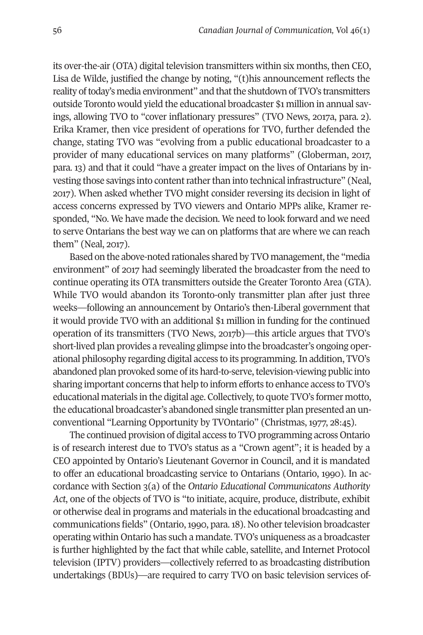its over-the-air (OTA) digital television transmitters within six months, then CEO, Lisa de Wilde, justified the change by noting, "(t)his announcement reflects the reality of today's media environment" and that the shutdown of TVO's transmitters outside Toronto would yield the educational broadcaster \$1 million in annual savings, allowing TVO to "cover inflationary pressures" (TVO News, 2017a, para. 2). Erika Kramer, then vice president of operations for TVO, further defended the change, stating TVO was "evolving from a public educational broadcaster to a provider of many educational services on many platforms" (Globerman, 2017, para. 13) and that it could "have a greater impact on the lives of Ontarians by investing those savings into content rather than into technical infrastructure" (Neal, 2017). When asked whether TVO might consider reversing its decision in light of access concerns expressed by TVO viewers and Ontario MPPs alike, Kramer responded, "No. We have made the decision. We need to look forward and we need to serve Ontarians the best way we can on platforms that are where we can reach them" (Neal, 2017).

Based on the above-noted rationales shared by TVO management, the "media environment" of 2017 had seemingly liberated the broadcaster from the need to continue operating its OTA transmitters outside the Greater Toronto Area (GTA). While TVO would abandon its Toronto-only transmitter plan after just three weeks—following an announcement by Ontario's then-Liberal government that it would provide TVO with an additional \$1 million in funding for the continued operation of its transmitters (TVO News, 2017b)—this article argues that TVO's short-lived plan provides a revealing glimpse into the broadcaster's ongoing operational philosophy regarding digital access to its programming. In addition, TVO's abandoned plan provoked some of its hard-to-serve, television-viewing public into sharing important concerns that help to inform efforts to enhance access to TVO's educational materials in the digital age. Collectively, to quote TVO's former motto, the educational broadcaster's abandoned single transmitter plan presented an unconventional "Learning Opportunity by TVOntario" (Christmas, 1977, 28:45).

The continued provision of digital access to TVO programming across Ontario is of research interest due to TVO's status as a "Crown agent"; it is headed by a CEO appointed by Ontario's Lieutenant Governor in Council, and it is mandated to offer an educational broadcasting service to Ontarians (Ontario, 1990). In accordance with Section 3(a) of the *Ontario Educational Communicatons Authority Act*, one of the objects of TVO is "to initiate, acquire, produce, distribute, exhibit or otherwise deal in programs and materials in the educational broadcasting and communications fields" (Ontario, 1990, para. 18). No other television broadcaster operating within Ontario has such a mandate. TVO's uniqueness as a broadcaster is further highlighted by the fact that while cable, satellite, and Internet Protocol television (IPTV) providers—collectively referred to as broadcasting distribution undertakings (BDUs)—are required to carry TVO on basic television services of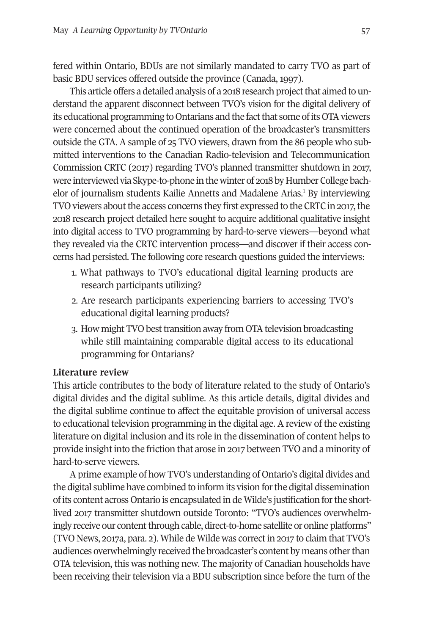fered within Ontario, BDUs are not similarly mandated to carry TVO as part of basic BDU services offered outside the province (Canada, 1997).

This article offers a detailed analysis of a 2018 research project that aimed to understand the apparent disconnect between TVO's vision for the digital delivery of its educational programming to Ontarians and the fact that some of its OTA viewers were concerned about the continued operation of the broadcaster's transmitters outside the GTA. A sample of 25 TVO viewers, drawn from the 86 people who submitted interventions to the Canadian Radio-television and Telecommunication Commission CRTC (2017) regarding TVO's planned transmitter shutdown in 2017, were interviewed via Skype-to-phone in the winter of 2018 by Humber College bachelor of journalism students Kailie Annetts and Madalene Arias.<sup>1</sup> By interviewing TVO viewers about the access concerns they first expressed to the CRTC in 2017, the 2018 research project detailed here sought to acquire additional qualitative insight into digital access to TVO programming by hard-to-serve viewers—beyond what they revealed via the CRTC intervention process—and discover if their access concerns had persisted. The following core research questions guided the interviews:

- 1. What pathways to TVO's educational digital learning products are research participants utilizing?
- 2. Are research participants experiencing barriers to accessing TVO's educational digital learning products?
- 3. How might TVO best transition away from OTA television broadcasting while still maintaining comparable digital access to its educational programming for Ontarians?

### **Literature review**

This article contributes to the body of literature related to the study of Ontario's digital divides and the digital sublime. As this article details, digital divides and the digital sublime continue to affect the equitable provision of universal access to educational television programming in the digital age. A review of the existing literature on digital inclusion and its role in the dissemination of content helps to provide insight into the friction that arose in 2017 between TVO and a minority of hard-to-serve viewers.

A prime example of how TVO's understanding of Ontario's digital divides and the digital sublime have combined to inform its vision for the digital dissemination of its content across Ontario is encapsulated in de Wilde's justification for the shortlived 2017 transmitter shutdown outside Toronto: "TVO's audiences overwhelmingly receive our content through cable, direct-to-home satellite or online platforms" (TVO News, 2017a, para. 2). While de Wilde was correct in 2017 to claim that TVO's audiences overwhelmingly received the broadcaster's content by means other than OTA television, this was nothing new. The majority of Canadian households have been receiving their television via a BDU subscription since before the turn of the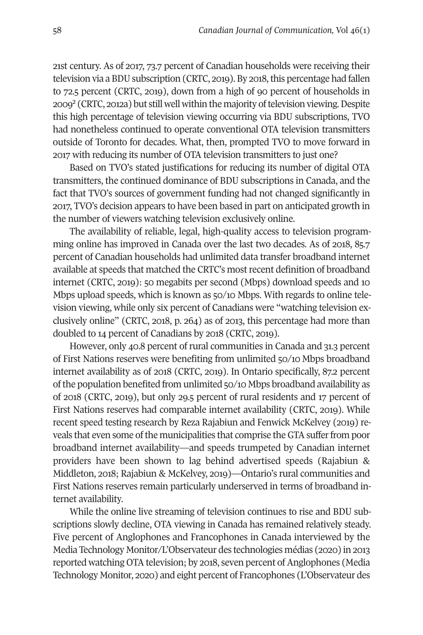21st century. As of 2017, 73.7 percent of Canadian households were receiving their television via a BDU subscription (CRTC, 2019). By 2018, this percentage had fallen to 72.5 percent (CRTC, 2019), down from a high of 90 percent of households in 2009<sup>2</sup> (CRTC, 2012a) but still well within the majority of television viewing. Despite this high percentage of television viewing occurring via BDU subscriptions, TVO had nonetheless continued to operate conventional OTA television transmitters outside of Toronto for decades. What, then, prompted TVO to move forward in 2017 with reducing its number of OTA television transmitters to just one?

Based on TVO's stated justifications for reducing its number of digital OTA transmitters, the continued dominance of BDU subscriptions in Canada, and the fact that TVO's sources of government funding had not changed significantly in 2017, TVO's decision appears to have been based in part on anticipated growth in the number of viewers watching television exclusively online.

The availability of reliable, legal, high-quality access to television programming online has improved in Canada over the last two decades. As of 2018, 85.7 percent of Canadian households had unlimited data transfer broadband internet available at speeds that matched the CRTC's most recent definition of broadband internet (CRTC, 2019): 50 megabits per second (Mbps) download speeds and 10 Mbps upload speeds, which is known as 50/10 Mbps. With regards to online television viewing, while only six percent of Canadians were "watching television exclusively online" (CRTC, 2018, p. 264) as of 2013, this percentage had more than doubled to 14 percent of Canadians by 2018 (CRTC, 2019).

However, only 40.8 percent of rural communities in Canada and 31.3 percent of First Nations reserves were benefiting from unlimited 50/10 Mbps broadband internet availability as of 2018 (CRTC, 2019). In Ontario specifically, 87.2 percent of the population benefited from unlimited 50/10 Mbps broadband availability as of 2018 (CRTC, 2019), but only 29.5 percent of rural residents and 17 percent of First Nations reserves had comparable internet availability (CRTC, 2019). While recent speed testing research by Reza Rajabiun and Fenwick McKelvey (2019) reveals that even some of the municipalities that comprise the GTA suffer from poor broadband internet availability—and speeds trumpeted by Canadian internet providers have been shown to lag behind advertised speeds (Rajabiun & Middleton, 2018; Rajabiun & McKelvey, 2019)—Ontario's rural communities and First Nations reserves remain particularly underserved in terms of broadband internet availability.

While the online live streaming of television continues to rise and BDU subscriptions slowly decline, OTA viewing in Canada has remained relatively steady. Five percent of Anglophones and Francophones in Canada interviewed by the Media Technology Monitor/L'Observateur des technologies médias (2020) in 2013 reported watching OTA television; by 2018, seven percent of Anglophones (Media Technology Monitor, 2020) and eight percent of Francophones (L'Observateur des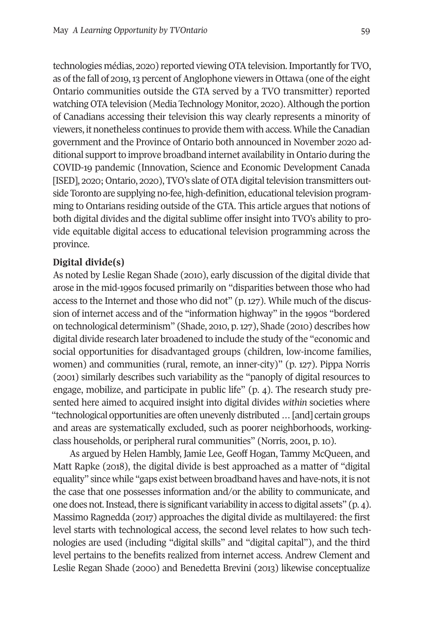technologies médias, 2020) reported viewing OTA television. Importantly for TVO, as of the fall of 2019, 13 percent of Anglophone viewers in Ottawa (one of the eight Ontario communities outside the GTA served by a TVO transmitter) reported watching OTA television (Media Technology Monitor, 2020). Although the portion of Canadians accessing their television this way clearly represents a minority of viewers, it nonetheless continues to provide them with access. While the Canadian government and the Province of Ontario both announced in November 2020 additional support to improve broadband internet availability in Ontario during the COVID-19 pandemic (Innovation, Science and Economic Development Canada [ISED], 2020; Ontario, 2020), TVO's slate of OTA digital television transmitters outside Toronto are supplying no-fee, high-definition, educational television programming to Ontarians residing outside of the GTA. This article argues that notions of both digital divides and the digital sublime offer insight into TVO's ability to provide equitable digital access to educational television programming across the province.

### **Digital divide(s)**

As noted by Leslie Regan Shade (2010), early discussion of the digital divide that arose in the mid-1990s focused primarily on "disparities between those who had access to the Internet and those who did not" (p. 127). While much of the discussion of internet access and of the "information highway" in the 1990s "bordered on technological determinism" (Shade, 2010, p. 127), Shade (2010) describes how digital divide research later broadened to include the study of the "economic and social opportunities for disadvantaged groups (children, low-income families, women) and communities (rural, remote, an inner-city)" (p. 127). Pippa Norris (2001) similarly describes such variability as the "panoply of digital resources to engage, mobilize, and participate in public life" (p. 4). The research study presented here aimed to acquired insight into digital divides *within* societies where "technological opportunities are often unevenly distributed … [and] certain groups and areas are systematically excluded, such as poorer neighborhoods, workingclass households, or peripheral rural communities" (Norris, 2001, p. 10).

As argued by Helen Hambly, Jamie Lee, Geoff Hogan, Tammy McQueen, and Matt Rapke (2018), the digital divide is best approached as a matter of "digital equality" since while "gaps exist between broadband haves and have-nots, it is not the case that one possesses information and/or the ability to communicate, and one does not. Instead, there is significant variability in access to digital assets" (p. 4). Massimo Ragnedda (2017) approaches the digital divide as multilayered: the first level starts with technological access, the second level relates to how such technologies are used (including "digital skills" and "digital capital"), and the third level pertains to the benefits realized from internet access. Andrew Clement and Leslie Regan Shade (2000) and Benedetta Brevini (2013) likewise conceptualize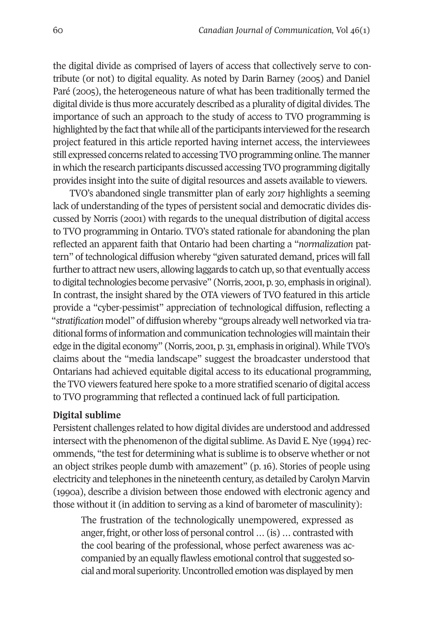the digital divide as comprised of layers of access that collectively serve to contribute (or not) to digital equality. As noted by Darin Barney (2005) and Daniel Paré (2005), the heterogeneous nature of what has been traditionally termed the digital divide is thus more accurately described as a plurality of digital divides. The importance of such an approach to the study of access to TVO programming is highlighted by the fact that while all of the participants interviewed for the research project featured in this article reported having internet access, the interviewees still expressed concerns related to accessing TVO programming online. The manner in which the research participants discussed accessing TVO programming digitally provides insight into the suite of digital resources and assets available to viewers.

TVO's abandoned single transmitter plan of early 2017 highlights a seeming lack of understanding of the types of persistent social and democratic divides discussed by Norris (2001) with regards to the unequal distribution of digital access to TVO programming in Ontario. TVO's stated rationale for abandoning the plan reflected an apparent faith that Ontario had been charting a "*normalization* pattern" of technological diffusion whereby "given saturated demand, prices will fall further to attract new users, allowing laggards to catch up, so that eventually access to digital technologies become pervasive" (Norris, 2001, p. 30, emphasis in original). In contrast, the insight shared by the OTA viewers of TVO featured in this article provide a "cyber-pessimist" appreciation of technological diffusion, reflecting a "*stratification* model" of diffusion whereby "groups already well networked via traditional forms of information and communication technologies will maintain their edge in the digital economy" (Norris, 2001, p. 31, emphasis in original). While TVO's claims about the "media landscape" suggest the broadcaster understood that Ontarians had achieved equitable digital access to its educational programming, the TVO viewers featured here spoke to a more stratified scenario of digital access to TVO programming that reflected a continued lack of full participation.

### **Digital sublime**

Persistent challenges related to how digital divides are understood and addressed intersect with the phenomenon of the digital sublime. As David E. Nye (1994) recommends, "the test for determining what is sublime is to observe whether or not an object strikes people dumb with amazement" (p. 16). Stories of people using electricity and telephones in the nineteenth century, as detailed by Carolyn Marvin (1990a), describe a division between those endowed with electronic agency and those without it (in addition to serving as a kind of barometer of masculinity):

The frustration of the technologically unempowered, expressed as anger, fright, or other loss of personal control … (is) … contrasted with the cool bearing of the professional, whose perfect awareness was accompanied by an equally flawless emotional control that suggested social and moral superiority. Uncontrolled emotion was displayed by men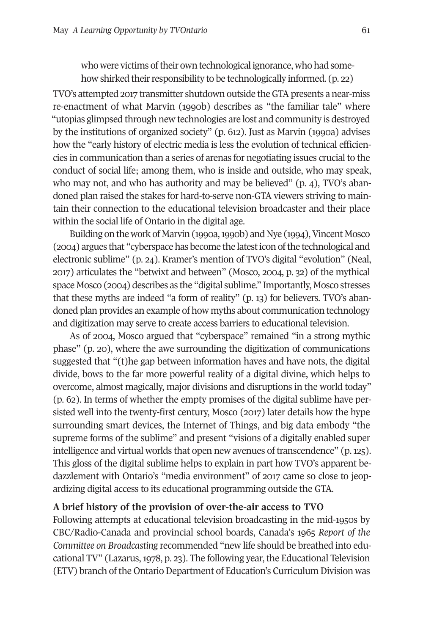who were victims of their own technological ignorance, who had somehow shirked their responsibility to be technologically informed. (p. 22)

TVO's attempted 2017 transmitter shutdown outside the GTA presents a near-miss re-enactment of what Marvin (1990b) describes as "the familiar tale" where "utopias glimpsed through new technologies are lost and community is destroyed by the institutions of organized society" (p. 612). Just as Marvin (1990a) advises how the "early history of electric media is less the evolution of technical efficiencies in communication than a series of arenas for negotiating issues crucial to the conduct of social life; among them, who is inside and outside, who may speak, who may not, and who has authority and may be believed" (p. 4), TVO's abandoned plan raised the stakes for hard-to-serve non-GTA viewers striving to maintain their connection to the educational television broadcaster and their place within the social life of Ontario in the digital age.

Building on the work of Marvin (1990a, 1990b) and Nye (1994), Vincent Mosco (2004) argues that "cyberspace has become the latest icon of the technological and electronic sublime" (p. 24). Kramer's mention of TVO's digital "evolution" (Neal, 2017) articulates the "betwixt and between" (Mosco, 2004, p. 32) of the mythical space Mosco (2004) describes as the "digital sublime." Importantly, Mosco stresses that these myths are indeed "a form of reality" (p. 13) for believers. TVO's abandoned plan provides an example of how myths about communication technology and digitization may serve to create access barriers to educational television.

As of 2004, Mosco argued that "cyberspace" remained "in a strong mythic phase" (p. 20), where the awe surrounding the digitization of communications suggested that "(t)he gap between information haves and have nots, the digital divide, bows to the far more powerful reality of a digital divine, which helps to overcome, almost magically, major divisions and disruptions in the world today" (p. 62). In terms of whether the empty promises of the digital sublime have persisted well into the twenty-first century, Mosco (2017) later details how the hype surrounding smart devices, the Internet of Things, and big data embody "the supreme forms of the sublime" and present "visions of a digitally enabled super intelligence and virtual worlds that open new avenues of transcendence" (p. 125). This gloss of the digital sublime helps to explain in part how TVO's apparent bedazzlement with Ontario's "media environment" of 2017 came so close to jeopardizing digital access to its educational programming outside the GTA.

### **A brief history of the provision of over-the-air access to TVO**

Following attempts at educational television broadcasting in the mid-1950s by CBC/Radio-Canada and provincial school boards, Canada's 1965 *Report of the Committee on Broadcasting* recommended "new life should be breathed into educational TV" (Lazarus, 1978, p. 23). The following year, the Educational Television (ETV) branch of the Ontario Department of Education's Curriculum Division was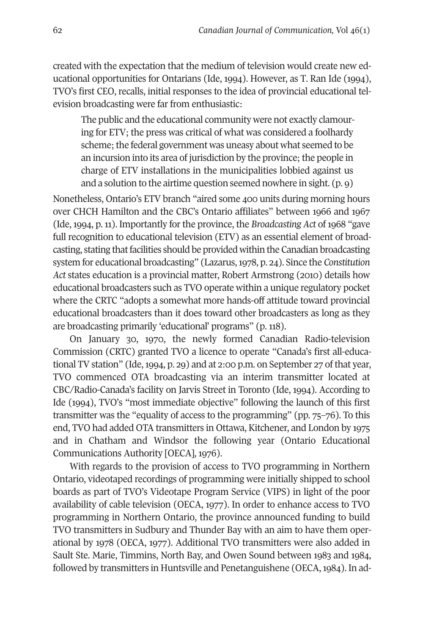created with the expectation that the medium of television would create new educational opportunities for Ontarians (Ide, 1994). However, as T. Ran Ide (1994), TVO's first CEO, recalls, initial responses to the idea of provincial educational television broadcasting were far from enthusiastic:

The public and the educational community were not exactly clamouring for ETV; the press was critical of what was considered a foolhardy scheme; the federal government was uneasy about what seemed to be an incursion into its area of jurisdiction by the province; the people in charge of ETV installations in the municipalities lobbied against us and a solution to the airtime question seemed nowhere in sight. (p. 9)

Nonetheless, Ontario's ETV branch "aired some 400 units during morning hours over CHCH Hamilton and the CBC's Ontario affiliates" between 1966 and 1967 (Ide, 1994, p. 11). Importantly for the province, the *Broadcasting Act* of 1968 "gave full recognition to educational television (ETV) as an essential element of broadcasting, stating that facilities should be provided within the Canadian broadcasting system for educational broadcasting" (Lazarus, 1978, p. 24). Since the *Constitution Act* states education is a provincial matter, Robert Armstrong (2010) details how educational broadcasters such as TVO operate within a unique regulatory pocket where the CRTC "adopts a somewhat more hands-off attitude toward provincial educational broadcasters than it does toward other broadcasters as long as they are broadcasting primarily 'educational' programs" (p. 118).

On January 30, 1970, the newly formed Canadian Radio-television Commission (CRTC) granted TVO a licence to operate "Canada's first all-educational TV station" (Ide, 1994, p. 29) and at 2:00 p.m. on September 27 of that year, TVO commenced OTA broadcasting via an interim transmitter located at CBC/Radio-Canada's facility on Jarvis Street in Toronto (Ide, 1994). According to Ide (1994), TVO's "most immediate objective" following the launch of this first transmitter was the "equality of access to the programming" (pp. 75–76). To this end, TVO had added OTA transmitters in Ottawa, Kitchener, and London by 1975 and in Chatham and Windsor the following year (Ontario Educational Communications Authority [OECA], 1976).

With regards to the provision of access to TVO programming in Northern Ontario, videotaped recordings of programming were initially shipped to school boards as part of TVO's Videotape Program Service (VIPS) in light of the poor availability of cable television (OECA, 1977). In order to enhance access to TVO programming in Northern Ontario, the province announced funding to build TVO transmitters in Sudbury and Thunder Bay with an aim to have them operational by 1978 (OECA, 1977). Additional TVO transmitters were also added in Sault Ste. Marie, Timmins, North Bay, and Owen Sound between 1983 and 1984, followed by transmitters in Huntsville and Penetanguishene (OECA, 1984). In ad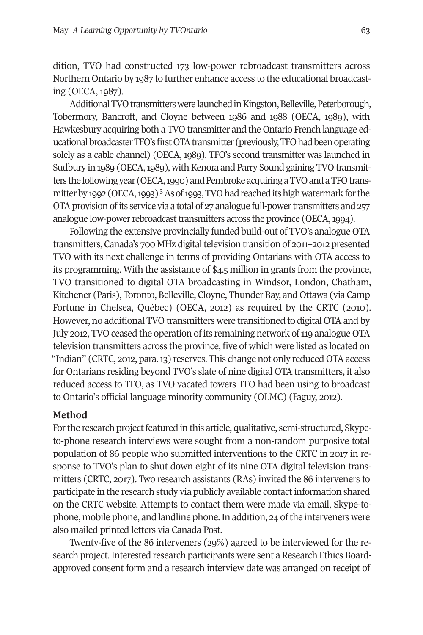dition, TVO had constructed 173 low-power rebroadcast transmitters across Northern Ontario by 1987 to further enhance access to the educational broadcasting (OECA, 1987).

Additional TVO transmitters were launched in Kingston, Belleville, Peterborough, Tobermory, Bancroft, and Cloyne between 1986 and 1988 (OECA, 1989), with Hawkesbury acquiring both a TVO transmitter and the Ontario French language educational broadcaster TFO's first OTA transmitter (previously, TFO had been operating solely as a cable channel) (OECA, 1989). TFO's second transmitter was launched in Sudbury in 1989 (OECA, 1989), with Kenora and Parry Sound gaining TVO transmitters the following year (OECA, 1990) and Pembroke acquiring a TVO and a TFO transmitter by 1992 (OECA, 1993).<sup>3</sup> As of 1993, TVO had reached its high watermark for the OTA provision of its service via a total of 27 analogue full-power transmitters and 257 analogue low-power rebroadcast transmitters across the province (OECA, 1994).

Following the extensive provincially funded build-out of TVO's analogue OTA transmitters, Canada's 700 MHz digital television transition of 2011–2012 presented TVO with its next challenge in terms of providing Ontarians with OTA access to its programming. With the assistance of \$4.5 million in grants from the province, TVO transitioned to digital OTA broadcasting in Windsor, London, Chatham, Kitchener (Paris), Toronto, Belleville, Cloyne, Thunder Bay, and Ottawa (via Camp Fortune in Chelsea, Québec) (OECA, 2012) as required by the CRTC (2010). However, no additional TVO transmitters were transitioned to digital OTA and by July 2012, TVO ceased the operation of its remaining network of 119 analogue OTA television transmitters across the province, five of which were listed as located on "Indian" (CRTC, 2012, para. 13) reserves. This change not only reduced OTA access for Ontarians residing beyond TVO's slate of nine digital OTA transmitters, it also reduced access to TFO, as TVO vacated towers TFO had been using to broadcast to Ontario's official language minority community (OLMC) (Faguy, 2012).

### **Method**

For the research project featured in this article, qualitative, semi-structured, Skypeto-phone research interviews were sought from a non-random purposive total population of 86 people who submitted interventions to the CRTC in 2017 in response to TVO's plan to shut down eight of its nine OTA digital television transmitters (CRTC, 2017). Two research assistants (RAs) invited the 86 interveners to participate in the research study via publicly available contact information shared on the CRTC website. Attempts to contact them were made via email, Skype-tophone, mobile phone, and landline phone. In addition, 24 of the interveners were also mailed printed letters via Canada Post.

Twenty-five of the 86 interveners (29%) agreed to be interviewed for the research project. Interested research participants were sent a Research Ethics Boardapproved consent form and a research interview date was arranged on receipt of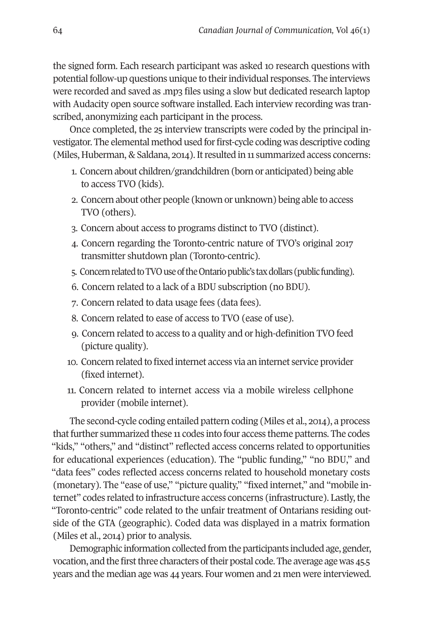the signed form. Each research participant was asked 10 research questions with potential follow-up questions unique to their individual responses. The interviews were recorded and saved as .mp3 files using a slow but dedicated research laptop with Audacity open source software installed. Each interview recording was transcribed, anonymizing each participant in the process.

Once completed, the 25 interview transcripts were coded by the principal investigator. The elemental method used for first-cycle coding was descriptive coding (Miles, Huberman, & Saldana, 2014). It resulted in 11 summarized access concerns:

- 1. Concern about children/grandchildren (born or anticipated) being able to access TVO (kids).
- 2. Concern about other people (known or unknown) being able to access TVO (others).
- 3. Concern about access to programs distinct to TVO (distinct).
- 4. Concern regarding the Toronto-centric nature of TVO's original 2017 transmitter shutdown plan (Toronto-centric).
- 5. Concern related to TVO use of the Ontario public's tax dollars (public funding).
- 6. Concern related to a lack of a BDU subscription (no BDU).
- 7. Concern related to data usage fees (data fees).
- 8. Concern related to ease of access to TVO (ease of use).
- 9. Concern related to access to a quality and or high-definition TVO feed (picture quality).
- 10. Concern related to fixed internet access via an internet service provider (fixed internet).
- 11. Concern related to internet access via a mobile wireless cellphone provider (mobile internet).

The second-cycle coding entailed pattern coding (Miles et al., 2014), a process that further summarized these 11 codes into four access theme patterns. The codes "kids," "others," and "distinct" reflected access concerns related to opportunities for educational experiences (education). The "public funding," "no BDU," and "data fees" codes reflected access concerns related to household monetary costs (monetary). The "ease of use," "picture quality," "fixed internet," and "mobile internet" codes related to infrastructure access concerns (infrastructure). Lastly, the "Toronto-centric" code related to the unfair treatment of Ontarians residing outside of the GTA (geographic). Coded data was displayed in a matrix formation (Miles et al., 2014) prior to analysis.

Demographic information collected from the participants included age, gender, vocation, and the first three characters of their postal code. The average age was 45.5 years and the median age was 44 years. Four women and 21 men were interviewed.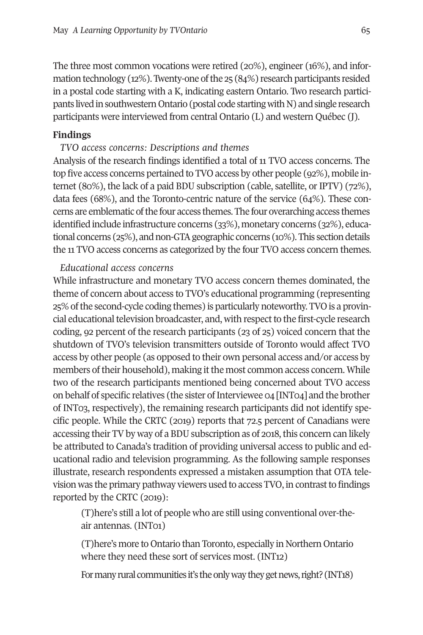The three most common vocations were retired (20%), engineer (16%), and information technology (12%). Twenty-one of the 25 (84%) research participants resided in a postal code starting with a K, indicating eastern Ontario. Two research participants lived in southwestern Ontario (postal code starting with N) and single research participants were interviewed from central Ontario (L) and western Québec (J).

### **Findings**

*TVO access concerns: Descriptions and themes*

Analysis of the research findings identified a total of 11 TVO access concerns. The top five access concerns pertained to TVO access by other people (92%), mobile internet (80%), the lack of a paid BDU subscription (cable, satellite, or IPTV) (72%), data fees (68%), and the Toronto-centric nature of the service (64%). These concerns are emblematic of the four access themes. The four overarching access themes identified include infrastructure concerns (33%), monetary concerns (32%), educational concerns (25%), and non-GTA geographic concerns (10%). This section details the 11 TVO access concerns as categorized by the four TVO access concern themes.

### *Educational access concerns*

While infrastructure and monetary TVO access concern themes dominated, the theme of concern about access to TVO's educational programming (representing 25% of the second-cycle coding themes) is particularly noteworthy. TVO is a provincial educational television broadcaster, and, with respect to the first-cycle research coding, 92 percent of the research participants (23 of 25) voiced concern that the shutdown of TVO's television transmitters outside of Toronto would affect TVO access by other people (as opposed to their own personal access and/or access by members of their household), making it the most common access concern. While two of the research participants mentioned being concerned about TVO access on behalf of specific relatives (the sister of Interviewee 04 [INT04] and the brother of INT03, respectively), the remaining research participants did not identify specific people. While the CRTC (2019) reports that 72.5 percent of Canadians were accessing their TV by way of a BDU subscription as of 2018, this concern can likely be attributed to Canada's tradition of providing universal access to public and educational radio and television programming. As the following sample responses illustrate, research respondents expressed a mistaken assumption that OTA television was the primary pathway viewers used to access TVO, in contrast to findings reported by the CRTC (2019):

(T)here's still a lot of people who are still using conventional over-theair antennas. (INT01)

(T)here's more to Ontario than Toronto, especially in Northern Ontario where they need these sort of services most. (INT12)

For many rural communities it's the only way they get news, right? (INT18)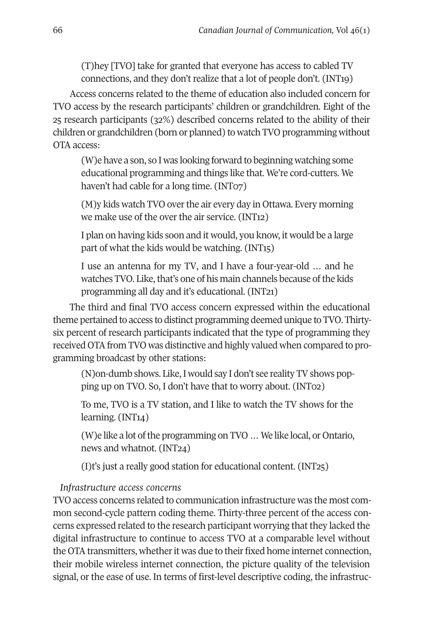(T)hey [TVO] take for granted that everyone has access to cabled TV connections, and they don't realize that a lot of people don't. (INT19)

Access concerns related to the theme of education also included concern for TVO access by the research participants' children or grandchildren. Eight of the 25 research participants (32%) described concerns related to the ability of their children or grandchildren (born or planned) to watch TVO programming without OTA access:

(W)e have a son, so I was looking forward to beginning watching some educational programming and things like that. We're cord-cutters. We haven't had cable for a long time. (INT07)

(M)y kids watch TVO over the air every day in Ottawa. Every morning we make use of the over the air service. (INT12)

I plan on having kids soon and it would, you know, it would be a large part of what the kids would be watching. (INT15)

I use an antenna for my TV, and I have a four-year-old … and he watches TVO. Like, that's one of his main channels because of the kids programming all day and it's educational. (INT21)

The third and final TVO access concern expressed within the educational theme pertained to access to distinct programming deemed unique to TVO. Thirtysix percent of research participants indicated that the type of programming they received OTA from TVO was distinctive and highly valued when compared to programming broadcast by other stations:

(N)on-dumb shows. Like, I would say I don't see reality TV shows popping up on TVO. So, I don't have that to worry about. (INT02)

To me, TVO is a TV station, and I like to watch the TV shows for the learning. (INT<sub>14</sub>)

(W)e like a lot of the programming on TVO … We like local, or Ontario, news and whatnot. (INT24)

(I)t's just a really good station for educational content. (INT25)

## *Infrastructure access concerns*

TVO access concerns related to communication infrastructure was the most common second-cycle pattern coding theme. Thirty-three percent of the access concerns expressed related to the research participant worrying that they lacked the digital infrastructure to continue to access TVO at a comparable level without the OTA transmitters, whether it was due to their fixed home internet connection, their mobile wireless internet connection, the picture quality of the television signal, or the ease of use. In terms of first-level descriptive coding, the infrastruc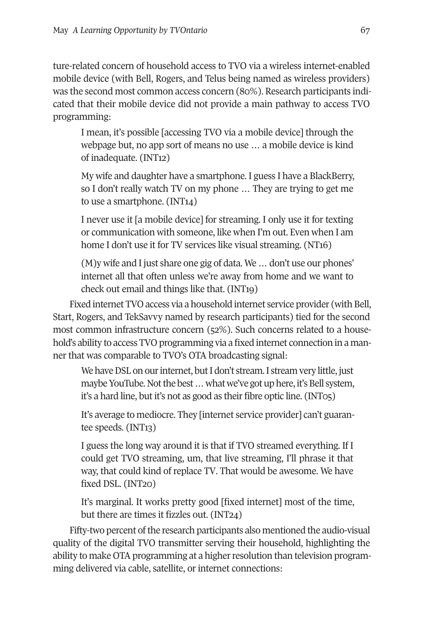ture-related concern of household access to TVO via a wireless internet-enabled mobile device (with Bell, Rogers, and Telus being named as wireless providers) was the second most common access concern (80%). Research participants indicated that their mobile device did not provide a main pathway to access TVO programming:

I mean, it's possible [accessing TVO via a mobile device] through the webpage but, no app sort of means no use … a mobile device is kind of inadequate. (INT12)

My wife and daughter have a smartphone. I guess I have a BlackBerry, so I don't really watch TV on my phone … They are trying to get me to use a smartphone. (INT14)

I never use it [a mobile device] for streaming. I only use it for texting or communication with someone, like when I'm out. Even when I am home I don't use it for TV services like visual streaming. (NT16)

(M)y wife and I just share one gig of data. We … don't use our phones' internet all that often unless we're away from home and we want to check out email and things like that. (INT19)

Fixed internet TVO access via a household internet service provider (with Bell, Start, Rogers, and TekSavvy named by research participants) tied for the second most common infrastructure concern (52%). Such concerns related to a household's ability to access TVO programming via a fixed internet connection in a manner that was comparable to TVO's OTA broadcasting signal:

We have DSL on our internet, but I don't stream. I stream very little, just maybe YouTube. Not the best … what we've got up here, it's Bell system, it's a hard line, but it's not as good as their fibre optic line. (INT05)

It's average to mediocre. They [internet service provider] can't guarantee speeds. (INT13)

I guess the long way around it is that if TVO streamed everything. If I could get TVO streaming, um, that live streaming, I'll phrase it that way, that could kind of replace TV. That would be awesome. We have fixed DSL. (INT20)

It's marginal. It works pretty good [fixed internet] most of the time, but there are times it fizzles out. (INT24)

Fifty-two percent of the research participants also mentioned the audio-visual quality of the digital TVO transmitter serving their household, highlighting the ability to make OTA programming at a higher resolution than television programming delivered via cable, satellite, or internet connections: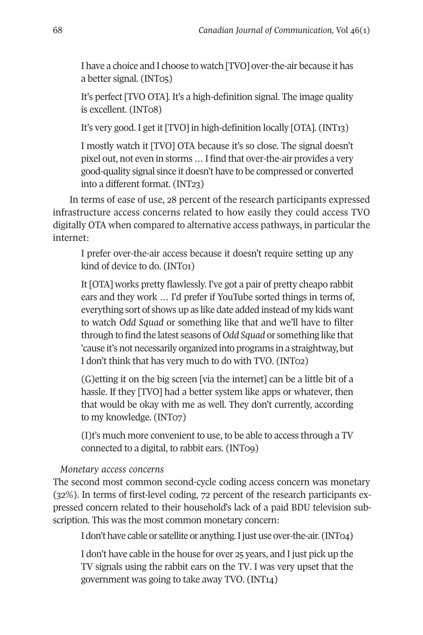I have a choice and I choose to watch [TVO] over-the-air because it has a better signal. (INT05)

It's perfect [TVO OTA]. It's a high-definition signal. The image quality is excellent. (INT08)

It's very good. I get it [TVO] in high-definition locally [OTA]. (INT13)

I mostly watch it [TVO] OTA because it's so close. The signal doesn't pixel out, not even in storms … I find that over-the-air provides a very good-quality signal since it doesn't have to be compressed or converted into a different format. (INT23)

In terms of ease of use, 28 percent of the research participants expressed infrastructure access concerns related to how easily they could access TVO digitally OTA when compared to alternative access pathways, in particular the internet:

I prefer over-the-air access because it doesn't require setting up any kind of device to do. (INT01)

It [OTA] works pretty flawlessly. I've got a pair of pretty cheapo rabbit ears and they work … I'd prefer if YouTube sorted things in terms of, everything sort of shows up as like date added instead of my kids want to watch *Odd Squad* or something like that and we'll have to filter through to find the latest seasons of *Odd Squad* or something like that 'cause it's not necessarily organized into programs in a straightway, but I don't think that has very much to do with TVO. (INT02)

(G)etting it on the big screen [via the internet] can be a little bit of a hassle. If they [TVO] had a better system like apps or whatever, then that would be okay with me as well. They don't currently, according to my knowledge. (INT07)

(I)t's much more convenient to use, to be able to access through a TV connected to a digital, to rabbit ears. (INT09)

### *Monetary access concerns*

The second most common second-cycle coding access concern was monetary (32%). In terms of first-level coding, 72 percent of the research participants expressed concern related to their household's lack of a paid BDU television subscription. This was the most common monetary concern:

I don't have cable or satellite or anything. I just use over-the-air. (INT04)

I don't have cable in the house for over 25 years, and I just pick up the TV signals using the rabbit ears on the TV. I was very upset that the government was going to take away TVO. (INT14)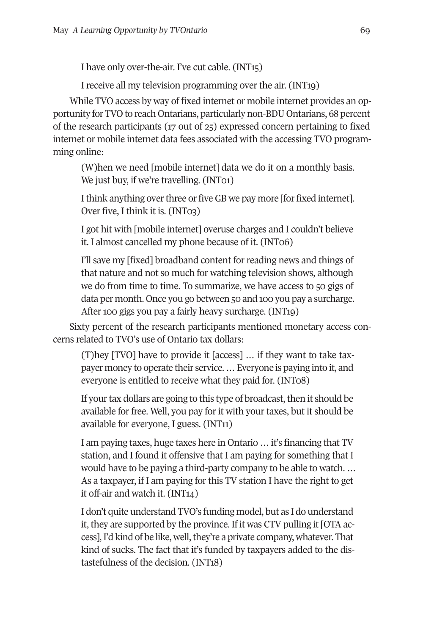I have only over-the-air. I've cut cable. (INT15)

I receive all my television programming over the air. (INT19)

While TVO access by way of fixed internet or mobile internet provides an opportunity for TVO to reach Ontarians, particularly non-BDU Ontarians, 68 percent of the research participants (17 out of 25) expressed concern pertaining to fixed internet or mobile internet data fees associated with the accessing TVO programming online:

(W)hen we need [mobile internet] data we do it on a monthly basis. We just buy, if we're travelling. (INT01)

I think anything over three or five GB we pay more [for fixed internet]. Over five, I think it is. (INT03)

I got hit with [mobile internet] overuse charges and I couldn't believe it. I almost cancelled my phone because of it. (INT06)

I'll save my [fixed] broadband content for reading news and things of that nature and not so much for watching television shows, although we do from time to time. To summarize, we have access to 50 gigs of data per month. Once you go between 50 and 100 you pay a surcharge. After 100 gigs you pay a fairly heavy surcharge. (INT19)

Sixty percent of the research participants mentioned monetary access concerns related to TVO's use of Ontario tax dollars:

(T)hey [TVO] have to provide it [access] … if they want to take taxpayer money to operate their service. … Everyone is paying into it, and everyone is entitled to receive what they paid for. (INT08)

If your tax dollars are going to this type of broadcast, then it should be available for free. Well, you pay for it with your taxes, but it should be available for everyone, I guess. (INT11)

I am paying taxes, huge taxes here in Ontario … it's financing that TV station, and I found it offensive that I am paying for something that I would have to be paying a third-party company to be able to watch. … As a taxpayer, if I am paying for this TV station I have the right to get it off-air and watch it. (INT14)

I don't quite understand TVO's funding model, but as I do understand it, they are supported by the province. If it was CTV pulling it [OTA access], I'd kind of be like, well, they're a private company, whatever. That kind of sucks. The fact that it's funded by taxpayers added to the distastefulness of the decision. (INT18)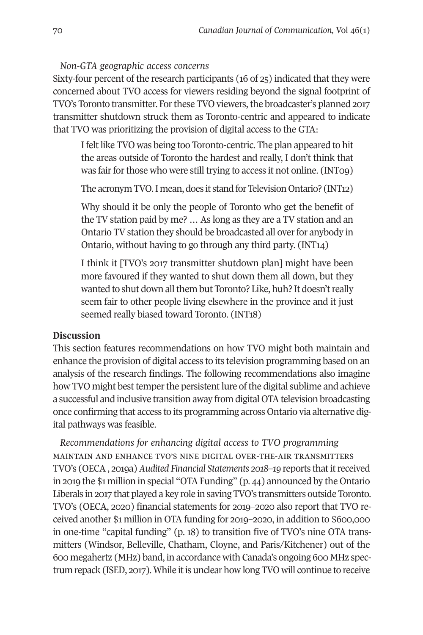### *Non-GTA geographic access concerns*

Sixty-four percent of the research participants (16 of 25) indicated that they were concerned about TVO access for viewers residing beyond the signal footprint of TVO's Toronto transmitter. For these TVO viewers, the broadcaster's planned 2017 transmitter shutdown struck them as Toronto-centric and appeared to indicate that TVO was prioritizing the provision of digital access to the GTA:

I felt like TVO was being too Toronto-centric. The plan appeared to hit the areas outside of Toronto the hardest and really, I don't think that was fair for those who were still trying to access it not online. (INT09)

The acronym TVO. I mean, does it stand for Television Ontario? (INT12)

Why should it be only the people of Toronto who get the benefit of the TV station paid by me? … As long as they are a TV station and an Ontario TV station they should be broadcasted all over for anybody in Ontario, without having to go through any third party. (INT14)

I think it [TVO's 2017 transmitter shutdown plan] might have been more favoured if they wanted to shut down them all down, but they wanted to shut down all them but Toronto? Like, huh? It doesn't really seem fair to other people living elsewhere in the province and it just seemed really biased toward Toronto. (INT18)

### **Discussion**

This section features recommendations on how TVO might both maintain and enhance the provision of digital access to its television programming based on an analysis of the research findings. The following recommendations also imagine how TVO might best temper the persistent lure of the digital sublime and achieve a successful and inclusive transition away from digital OTA television broadcasting once confirming that access to its programming across Ontario via alternative digital pathways was feasible.

*Recommendations for enhancing digital access to TVO programming* maintain and enhance tvo's nine digital over-the-air transmitters TVO's (OECA , 2019a) *Audited Financial Statements 2018–19* reports that it received in 2019 the \$1 million in special "OTA Funding" (p. 44) announced by the Ontario Liberals in 2017 that played a key role in saving TVO's transmitters outside Toronto. TVO's (OECA, 2020) financial statements for 2019–2020 also report that TVO received another \$1 million in OTA funding for 2019–2020, in addition to \$600,000 in one-time "capital funding" (p. 18) to transition five of TVO's nine OTA transmitters (Windsor, Belleville, Chatham, Cloyne, and Paris/Kitchener) out of the 600 megahertz (MHz) band, in accordance with Canada's ongoing 600 MHz spectrum repack (ISED, 2017). While it is unclear how long TVO will continue to receive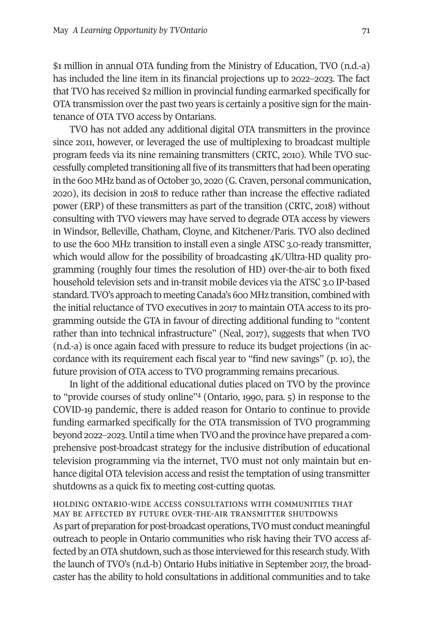\$1 million in annual OTA funding from the Ministry of Education, TVO (n.d.-a) has included the line item in its financial projections up to 2022–2023. The fact that TVO has received \$2 million in provincial funding earmarked specifically for OTA transmission over the past two years is certainly a positive sign for the maintenance of OTA TVO access by Ontarians.

TVO has not added any additional digital OTA transmitters in the province since 2011, however, or leveraged the use of multiplexing to broadcast multiple program feeds via its nine remaining transmitters (CRTC, 2010). While TVO successfully completed transitioning all five of its transmitters that had been operating in the 600 MHz band as of October 30, 2020 (G. Craven, personal communication, 2020), its decision in 2018 to reduce rather than increase the effective radiated power (ERP) of these transmitters as part of the transition (CRTC, 2018) without consulting with TVO viewers may have served to degrade OTA access by viewers in Windsor, Belleville, Chatham, Cloyne, and Kitchener/Paris. TVO also declined to use the 600 MHz transition to install even a single ATSC 3.0-ready transmitter, which would allow for the possibility of broadcasting 4K/Ultra-HD quality programming (roughly four times the resolution of HD) over-the-air to both fixed household television sets and in-transit mobile devices via the ATSC 3.0 IP-based standard. TVO's approach to meeting Canada's 600 MHz transition, combined with the initial reluctance of TVO executives in 2017 to maintain OTA access to its programming outside the GTA in favour of directing additional funding to "content rather than into technical infrastructure" (Neal, 2017), suggests that when TVO (n.d.-a) is once again faced with pressure to reduce its budget projections (in accordance with its requirement each fiscal year to "find new savings" (p. 10), the future provision of OTA access to TVO programming remains precarious.

In light of the additional educational duties placed on TVO by the province to "provide courses of study online["4](#page-19-3) (Ontario, 1990, para. 5) in response to the COVID-19 pandemic, there is added reason for Ontario to continue to provide funding earmarked specifically for the OTA transmission of TVO programming beyond 2022–2023. Until a time when TVO and the province have prepared a comprehensive post-broadcast strategy for the inclusive distribution of educational television programming via the internet, TVO must not only maintain but enhance digital OTA television access and resist the temptation of using transmitter shutdowns as a quick fix to meeting cost-cutting quotas.

holding ontario-wide access consultations with communities that may be affected by future over-the-air transmitter shutdowns As part of preparation for post-broadcast operations, TVO must conduct meaningful outreach to people in Ontario communities who risk having their TVO access affected by an OTA shutdown, such as those interviewed for this research study. With the launch of TVO's (n.d.-b) Ontario Hubs initiative in September 2017, the broadcaster has the ability to hold consultations in additional communities and to take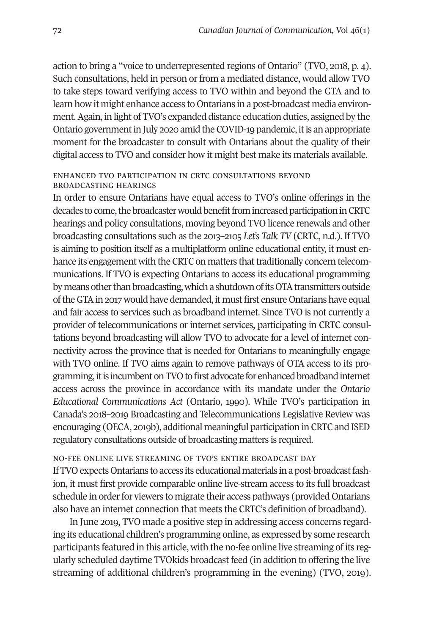action to bring a "voice to underrepresented regions of Ontario" (TVO, 2018, p. 4). Such consultations, held in person or from a mediated distance, would allow TVO to take steps toward verifying access to TVO within and beyond the GTA and to learn how it might enhance access to Ontarians in a post-broadcast media environment. Again, in light of TVO's expanded distance education duties, assigned by the Ontario government in July 2020 amid the COVID-19 pandemic, it is an appropriate moment for the broadcaster to consult with Ontarians about the quality of their digital access to TVO and consider how it might best make its materials available.

#### enhanced tvo participation in crtc consultations beyond broadcasting hearings

In order to ensure Ontarians have equal access to TVO's online offerings in the decades to come, the broadcaster would benefit from increased participation in CRTC hearings and policy consultations, moving beyond TVO licence renewals and other broadcasting consultations such as the 2013–2105 *Let's Talk TV* (CRTC, n.d.). If TVO is aiming to position itself as a multiplatform online educational entity, it must enhance its engagement with the CRTC on matters that traditionally concern telecommunications. If TVO is expecting Ontarians to access its educational programming by means other than broadcasting, which a shutdown of its OTA transmitters outside of the GTA in 2017 would have demanded, it must first ensure Ontarians have equal and fair access to services such as broadband internet. Since TVO is not currently a provider of telecommunications or internet services, participating in CRTC consultations beyond broadcasting will allow TVO to advocate for a level of internet connectivity across the province that is needed for Ontarians to meaningfully engage with TVO online. If TVO aims again to remove pathways of OTA access to its programming, it is incumbent on TVO to first advocate for enhanced broadband internet access across the province in accordance with its mandate under the *Ontario Educational Communications Act* (Ontario, 1990)*.* While TVO's participation in Canada's 2018–2019 Broadcasting and Telecommunications Legislative Review was encouraging (OECA, 2019b), additional meaningful participation in CRTC and ISED regulatory consultations outside of broadcasting matters is required.

### no-fee online live streaming of tvo's entire broadcast day

If TVO expects Ontarians to access its educational materials in a post-broadcast fashion, it must first provide comparable online live-stream access to its full broadcast schedule in order for viewers to migrate their access pathways (provided Ontarians also have an internet connection that meets the CRTC's definition of broadband).

In June 2019, TVO made a positive step in addressing access concerns regarding its educational children's programming online, as expressed by some research participants featured in this article, with the no-fee online live streaming of its regularly scheduled daytime TVOkids broadcast feed (in addition to offering the live streaming of additional children's programming in the evening) (TVO, 2019).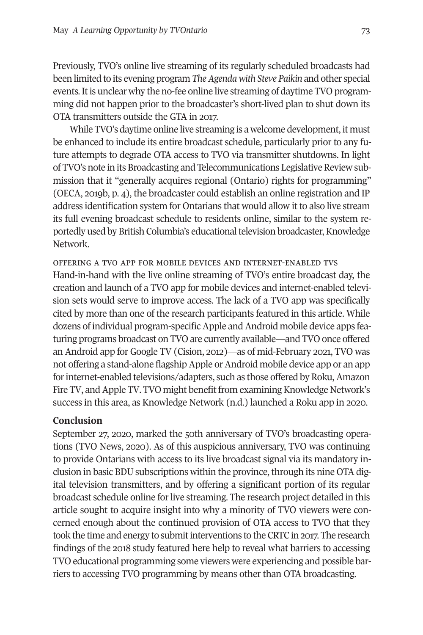Previously, TVO's online live streaming of its regularly scheduled broadcasts had been limited to its evening program *The Agenda with Steve Paikin* and other special events*.* It is unclear why the no-fee online live streaming of daytime TVO programming did not happen prior to the broadcaster's short-lived plan to shut down its OTA transmitters outside the GTA in 2017.

While TVO's daytime online live streaming is a welcome development, it must be enhanced to include its entire broadcast schedule, particularly prior to any future attempts to degrade OTA access to TVO via transmitter shutdowns. In light of TVO's note in its Broadcasting and Telecommunications Legislative Review submission that it "generally acquires regional (Ontario) rights for programming" (OECA, 2019b, p. 4), the broadcaster could establish an online registration and IP address identification system for Ontarians that would allow it to also live stream its full evening broadcast schedule to residents online, similar to the system reportedly used by British Columbia's educational television broadcaster, Knowledge Network.

offering a tvo app for mobile devices and internet-enabled tvs Hand-in-hand with the live online streaming of TVO's entire broadcast day, the creation and launch of a TVO app for mobile devices and internet-enabled television sets would serve to improve access. The lack of a TVO app was specifically cited by more than one of the research participants featured in this article. While dozens of individual program-specific Apple and Android mobile device apps featuring programs broadcast on TVO are currently available—and TVO once offered an Android app for Google TV (Cision, 2012)—as of mid-February 2021, TVO was not offering a stand-alone flagship Apple or Android mobile device app or an app for internet-enabled televisions/adapters, such as those offered by Roku, Amazon Fire TV, and Apple TV. TVO might benefit from examining Knowledge Network's success in this area, as Knowledge Network (n.d.) launched a Roku app in 2020.

### **Conclusion**

September 27, 2020, marked the 50th anniversary of TVO's broadcasting operations (TVO News, 2020). As of this auspicious anniversary, TVO was continuing to provide Ontarians with access to its live broadcast signal via its mandatory inclusion in basic BDU subscriptions within the province, through its nine OTA digital television transmitters, and by offering a significant portion of its regular broadcast schedule online for live streaming. The research project detailed in this article sought to acquire insight into why a minority of TVO viewers were concerned enough about the continued provision of OTA access to TVO that they took the time and energy to submit interventions to the CRTC in 2017. The research findings of the 2018 study featured here help to reveal what barriers to accessing TVO educational programming some viewers were experiencing and possible barriers to accessing TVO programming by means other than OTA broadcasting.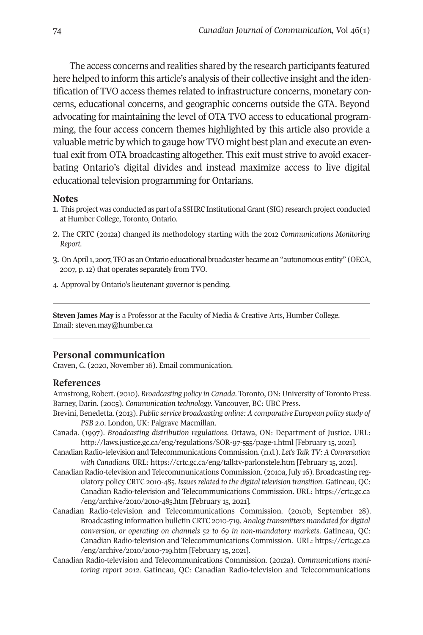The access concerns and realities shared by the research participants featured here helped to inform this article's analysis of their collective insight and the identification of TVO access themes related to infrastructure concerns, monetary concerns, educational concerns, and geographic concerns outside the GTA. Beyond advocating for maintaining the level of OTA TVO access to educational programming, the four access concern themes highlighted by this article also provide a valuable metric by which to gauge how TVO might best plan and execute an eventual exit from OTA broadcasting altogether. This exit must strive to avoid exacerbating Ontario's digital divides and instead maximize access to live digital educational television programming for Ontarians.

#### <span id="page-19-0"></span>**Notes**

- <span id="page-19-1"></span>1. This project was conducted as part of a SSHRC Institutional Grant (SIG) research project conducted at Humber College, Toronto, Ontario.
- 2. The CRTC (2012a) changed its methodology starting with the 2012 *Communications Monitoring Report*.
- <span id="page-19-2"></span>3. On April 1, 2007, TFO as an Ontario educational broadcaster became an "autonomous entity" (OECA, 2007, p. 12) that operates separately from TVO.
- <span id="page-19-3"></span>4. Approval by Ontario's lieutenant governor is pending.

**Steven James May** is a Professor at the Faculty of Media & Creative Arts, Humber College. Email: [steven.may@humber.ca](mailto:steven.may@humber.ca) 

#### **Personal communication**

Craven, G. (2020, November 16). Email communication.

### **References**

Armstrong, Robert. (2010). *Broadcasting policy in Canada*. Toronto, ON: University of Toronto Press. Barney, Darin. (2005). *Communication technology*. Vancouver, BC: UBC Press.

- Brevini, Benedetta. (2013). *Public service broadcasting online: A comparative European policy study of PSB 2.0*. London, UK: Palgrave Macmillan.
- Canada. (1997). *Broadcasting distribution regulations*. Ottawa, ON: Department of Justice. URL: <http://laws.justice.gc.ca/eng/regulations/SOR-97-555/page-1.html>[February 15, 2021].
- Canadian Radio-television and Telecommunications Commission. (n.d.). *Let's Talk TV: A Conversation with Canadians.* URL:<https://crtc.gc.ca/eng/talktv-parlonstele.htm>[February 15, 2021].
- Canadian Radio-television and Telecommunications Commission. (2010a, July 16). Broadcasting regulatory policy CRTC 2010-485. *Issues related to the digital television transition*. Gatineau, QC: Canadian Radio-television and Telecommunications Commission. URL: [https://crtc.gc.ca](https://crtc.gc.ca/eng/archive/2010/2010-485.htm)  [/eng/archive/2010/2010-485.htm](https://crtc.gc.ca/eng/archive/2010/2010-485.htm) [February 15, 2021].
- Canadian Radio-television and Telecommunications Commission. (2010b, September 28). Broadcasting information bulletin CRTC 2010-719. *Analog transmitters mandated for digital conversion, or operating on channels 52 to 69 in non-mandatory markets*. Gatineau, QC: Canadian Radio-television and Telecommunications Commission. URL: [https://crtc.gc.ca](https://crtc.gc.ca/eng/archive/2010/2010-719.htm)  [/eng/archive/2010/2010-719.htm](https://crtc.gc.ca/eng/archive/2010/2010-719.htm) [February 15, 2021].
- Canadian Radio-television and Telecommunications Commission. (2012a). *Communications monitoring report 2012*. Gatineau, QC: Canadian Radio-television and Telecommunications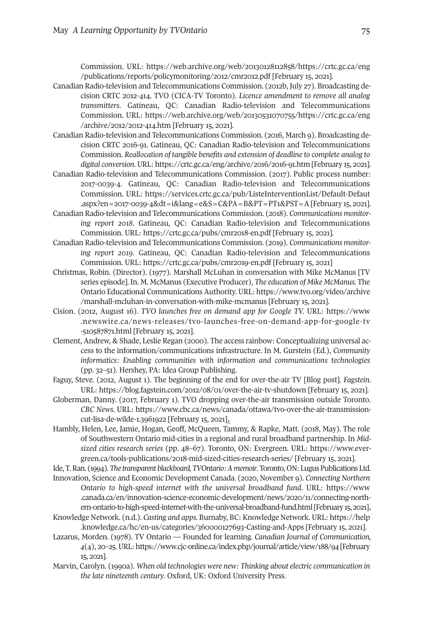Commission. URL: [https://web.archive.org/web/20130128112858/https://crtc.gc.ca/eng](https://web.archive.org/web/20130128112858/https://crtc.gc.ca/eng/publications/reports/policymonitoring/2012/cmr2012.pdf)  [/publications/reports/policymonitoring/2012/cmr2012.pdf](https://web.archive.org/web/20130128112858/https://crtc.gc.ca/eng/publications/reports/policymonitoring/2012/cmr2012.pdf) [February 15, 2021].

- Canadian Radio-television and Telecommunications Commission. (2012b, July 27). Broadcasting decision CRTC 2012-414. TVO (CICA-TV Toronto). *Licence amendment to remove all analog transmitters*. Gatineau, QC: Canadian Radio-television and Telecommunications Commission. URL: [https://web.archive.org/web/20130531070755/https://crtc.gc.ca/eng](https://web.archive.org/web/20130531070755/https://crtc.gc.ca/eng/archive/2012/2012-414.htm)  [/archive/2012/2012-414.htm](https://web.archive.org/web/20130531070755/https://crtc.gc.ca/eng/archive/2012/2012-414.htm) [February 15, 2021].
- Canadian Radio-television and Telecommunications Commission. (2016, March 9). Broadcasting decision CRTC 2016-91. Gatineau, QC: Canadian Radio-television and Telecommunications Commission. *Reallocation of tangible benefits and extension of deadline to complete analog to digital conversion*. URL:<https://crtc.gc.ca/eng/archive/2016/2016-91.htm>[February 15, 2021].
- Canadian Radio-television and Telecommunications Commission. (2017). Public process number: 2017-0039-4. Gatineau, QC: Canadian Radio-television and Telecommunications Commission. URL: [https://services.crtc.gc.ca/pub/ListeInterventionList/Default-Defaut](https://services.crtc.gc.ca/pub/ListeInterventionList/Default-Defaut.aspx?en=2017-0039-4&dt=i&lang=e&S=C&PA=B&PT=PT1&PST=A)  [.aspx?en=2017-0039-4&dt=i&lang=e&S=C&PA=B&PT=PT1&PST=A](https://services.crtc.gc.ca/pub/ListeInterventionList/Default-Defaut.aspx?en=2017-0039-4&dt=i&lang=e&S=C&PA=B&PT=PT1&PST=A) [February 15, 2021].
- Canadian Radio-television and Telecommunications Commission. (2018). *Communications monitoring report 2018*. Gatineau, QC: Canadian Radio-television and Telecommunications Commission. URL:<https://crtc.gc.ca/pubs/cmr2018-en.pdf>[February 15, 2021].
- Canadian Radio-television and Telecommunications Commission. (2019). *Communications monitoring report 2019*. Gatineau, QC: Canadian Radio-television and Telecommunications Commission. URL:<https://crtc.gc.ca/pubs/cmr2019-en.pdf>[February 15, 2021]
- Christmas, Robin. (Director). (1977). Marshall McLuhan in conversation with Mike McManus [TV series episode]. In. M. McManus (Executive Producer), *The education of Mike McManus.* The Ontario Educational Communications Authority. URL: [https://www.tvo.org/video/archive](https://www.tvo.org/video/archive/marshall-mcluhan-in-conversation-with-mike-mcmanus)  [/marshall-mcluhan-in-conversation-with-mike-mcmanus](https://www.tvo.org/video/archive/marshall-mcluhan-in-conversation-with-mike-mcmanus) [February 15, 2021].
- Cision. (2012, August 16). *TVO launches free on demand app for Google TV.* URL: [https://www](https://www.newswire.ca/news-releases/tvo-launches-free-on-demand-app-for-google-tv-510587871.html)  [.newswire.ca/news-releases/tvo-launches-free-on-demand-app-for-google-tv](https://www.newswire.ca/news-releases/tvo-launches-free-on-demand-app-for-google-tv-510587871.html)  [-510587871.html](https://www.newswire.ca/news-releases/tvo-launches-free-on-demand-app-for-google-tv-510587871.html) [February 15, 2021].
- Clement, Andrew, & Shade, Leslie Regan (2000). The access rainbow: Conceptualizing universal access to the information/communications infrastructure. In M. Gurstein (Ed.), *Community informatics: Enabling communities with information and communications technologies* (pp. 32–51). Hershey, PA: Idea Group Publishing.
- Faguy, Steve. (2012, August 1). The beginning of the end for over-the-air TV [Blog post]. *Fagstein.*  URL:<https://blog.fagstein.com/2012/08/01/over-the-air-tv-shutdown>[February 15, 2021].
- Globerman, Danny. (2017, February 1). TVO dropping over-the-air transmission outside Toronto. *CBC News.* URL: [https://www.cbc.ca/news/canada/ottawa/tvo-over-the-air-transmission](https://www.cbc.ca/news/canada/ottawa/tvo-over-the-air-transmission-cut-lisa-de-wilde-1.3961922)[cut-lisa-de-wilde-1.3961922](https://www.cbc.ca/news/canada/ottawa/tvo-over-the-air-transmission-cut-lisa-de-wilde-1.3961922) [February 15, 2021].
- Hambly, Helen, Lee, Jamie, Hogan, Geoff, McQueen, Tammy, & Rapke, Matt. (2018, May). The role of Southwestern Ontario mid-cities in a regional and rural broadband partnership. In *Midsized cities research series* (pp. 48–67). Toronto, ON: Evergreen. URL: [https://www.ever](https://www.evergreen.ca/tools-publications/2018-mid-sized-cities-research-series/)[green.ca/tools-publications/2018-mid-sized-cities-research-series/](https://www.evergreen.ca/tools-publications/2018-mid-sized-cities-research-series/) [February 15, 2021].

Ide, T. Ran. (1994). *The transparent blackboard, TVOntario: A memoir*. Toronto, ON: Lugus Publications Ltd. Innovation, Science and Economic Development Canada. (2020, November 9). *Connecting Northern Ontario to high-speed internet with the universal broadband fund.* URL: [https://www](https://www.canada.ca/en/innovation-science-economic-development/news/2020/11/connecting-northern-ontario-to-high-speed-internet-with-the-universal-broadband-fund.html)  [.canada.ca/en/innovation-science-economic-development/news/2020/11/connecting-north](https://www.canada.ca/en/innovation-science-economic-development/news/2020/11/connecting-northern-ontario-to-high-speed-internet-with-the-universal-broadband-fund.html)[ern-ontario-to-high-speed-internet-with-the-universal-broadband-fund.html](https://www.canada.ca/en/innovation-science-economic-development/news/2020/11/connecting-northern-ontario-to-high-speed-internet-with-the-universal-broadband-fund.html) [February 15, 2021].

- Knowledge Network. (n.d.). *Casting and apps.* Burnaby, BC: Knowledge Network. URL: https://help .knowledge.ca/hc/en-us/categories/360000127693-Casting-and-Apps [February 15, 2021].
- Lazarus, Morden. (1978). TV Ontario Founded for learning. *Canadian Journal of Communication, 4*(4), 20–25. URL: https://www.cjc-online.ca/index.php/journal/article/view/188/94 [February 15, 2021].
- Marvin, Carolyn. (1990a). *When old technologies were new: Thinking about electric communication in the late nineteenth century*. Oxford, UK: Oxford University Press.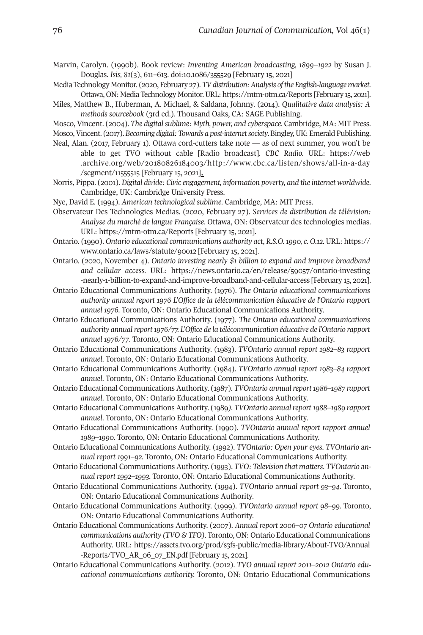- Marvin, Carolyn. (1990b). Book review: *Inventing American broadcasting, 1899–1922* by Susan J. Douglas. *Isis, 81*(3), 611–613. doi[:10.1086/355529](https://doi.org/10.1086/355529) [February 15, 2021]
- Media Technology Monitor. (2020, February 27). *TV distribution: Analysis of the English-language market*. Ottawa, ON: Media Technology Monitor. URL: https://mtm-otm.ca/Reports [February 15, 2021].
- Miles, Matthew B., Huberman, A. Michael, & Saldana, Johnny. (2014). *Qualitative data analysis: A methods sourcebook* (3rd ed.). Thousand Oaks, CA: SAGE Publishing.

Mosco, Vincent. (2004). *The digital sublime: Myth, power, and cyberspace*. Cambridge, MA: MIT Press. Mosco, Vincent. (2017). *Becoming digital: Towards a post-internet society*. Bingley, UK: Emerald Publishing.

- Neal, Alan. (2017, February 1). Ottawa cord-cutters take note as of next summer, you won't be able to get TVO without cable [Radio broadcast]. *CBC Radio.* URL: [https://web](https://web.archive.org/web/20180826184003/http://www.cbc.ca/listen/shows/all-in-a-day/segment/11555515)  [.archive.org/web/20180826184003/http://www.cbc.ca/listen/shows/all-in-a-day](https://web.archive.org/web/20180826184003/http://www.cbc.ca/listen/shows/all-in-a-day/segment/11555515)  [/segment/11555515](https://web.archive.org/web/20180826184003/http://www.cbc.ca/listen/shows/all-in-a-day/segment/11555515) [February 15, 2021].
- Norris, Pippa. (2001). *Digital divide: Civic engagement, information poverty, and the internet worldwide*. Cambridge, UK: Cambridge University Press.
- Nye, David E. (1994). *American technological sublime*. Cambridge, MA: MIT Press.
- Observateur Des Technologies Medias. (2020, February 27). *Services de distribution de télévision: Analyse du marché de langue Française*. Ottawa, ON: Observateur des technologies medias. URL:<https://mtm-otm.ca/Reports>[February 15, 2021].
- Ontario. (1990). *Ontario educational communications authority act*, *R.S.O. 1990, c. O.12.* URL: [https://](https://www.ontario.ca/laws/statute/90o12)  [www.ontario.ca/laws/statute/90o12](https://www.ontario.ca/laws/statute/90o12) [February 15, 2021].
- Ontario. (2020, November 4). *Ontario investing nearly \$1 billion to expand and improve broadband and cellular access.* URL: [https://news.ontario.ca/en/release/59057/ontario-investing](https://news.ontario.ca/en/release/59057/ontario-investing-nearly-1-billion-to-expand-and-improve-broadband-and-cellular-access)  [-nearly-1-billion-to-expand-and-improve-broadband-and-cellular-access](https://news.ontario.ca/en/release/59057/ontario-investing-nearly-1-billion-to-expand-and-improve-broadband-and-cellular-access) [February 15, 2021].
- Ontario Educational Communications Authority. (1976). *The Ontario educational communications authority annual report 1976 L'Office de la télécommunication éducative de l'Ontario rapport annuel 1976.* Toronto, ON: Ontario Educational Communications Authority.
- Ontario Educational Communications Authority. (1977). *The Ontario educational communications authority annual report 1976/77. L'Office de la télécommunication éducative de l'Ontario rapport annuel 1976/77*. Toronto, ON: Ontario Educational Communications Authority.
- Ontario Educational Communications Authority. (1983). *TVOntario annual report 1982–83 rapport annuel*. Toronto, ON: Ontario Educational Communications Authority.
- Ontario Educational Communications Authority. (1984). *TVOntario annual report 1983–84 rapport annuel*. Toronto, ON: Ontario Educational Communications Authority.
- Ontario Educational Communications Authority. (1987). *TVOntario annual report 1986–1987 rapport annuel*. Toronto, ON: Ontario Educational Communications Authority.
- Ontario Educational Communications Authority. (1989*). TVOntario* a*nnual report 1988–1989 rapport annuel*. Toronto, ON: Ontario Educational Communications Authority.
- Ontario Educational Communications Authority. (1990). *TVOntario* a*nnual report rapport annuel 1989–1990.* Toronto, ON: Ontario Educational Communications Authority.
- Ontario Educational Communications Authority. (1992). *TVOntario: Open your eyes*. *TVOntario* a*nnual report 1991–92.* Toronto, ON: Ontario Educational Communications Authority.
- Ontario Educational Communications Authority. (1993). *TVO: Television that matters*. *TVOntario* a*nnual report 1992–1993.* Toronto, ON: Ontario Educational Communications Authority.
- Ontario Educational Communications Authority. (1994). *TVOntario* a*nnual report 93–94*. Toronto, ON: Ontario Educational Communications Authority.
- Ontario Educational Communications Authority. (1999). *TVOntario annual report 98–99.* Toronto, ON: Ontario Educational Communications Authority.
- Ontario Educational Communications Authority. (2007). *Annual report 2006–07 Ontario educational communications authority (TVO & TFO)*. Toronto, ON: Ontario Educational Communications Authority. URL: [https://assets.tvo.org/prod/s3fs-public/media-library/About-TVO/Annual](https://assets.tvo.org/prod/s3fs-public/media-library/About-TVO/Annual-Reports/TVO_AR_06_07_EN.pdf)  [-Reports/TVO\\_AR\\_06\\_07\\_EN.pdf](https://assets.tvo.org/prod/s3fs-public/media-library/About-TVO/Annual-Reports/TVO_AR_06_07_EN.pdf) [February 15, 2021]*.*
- Ontario Educational Communications Authority. (2012). *TVO annual report 2011–2012 Ontario educational communications authority.* Toronto, ON: Ontario Educational Communications